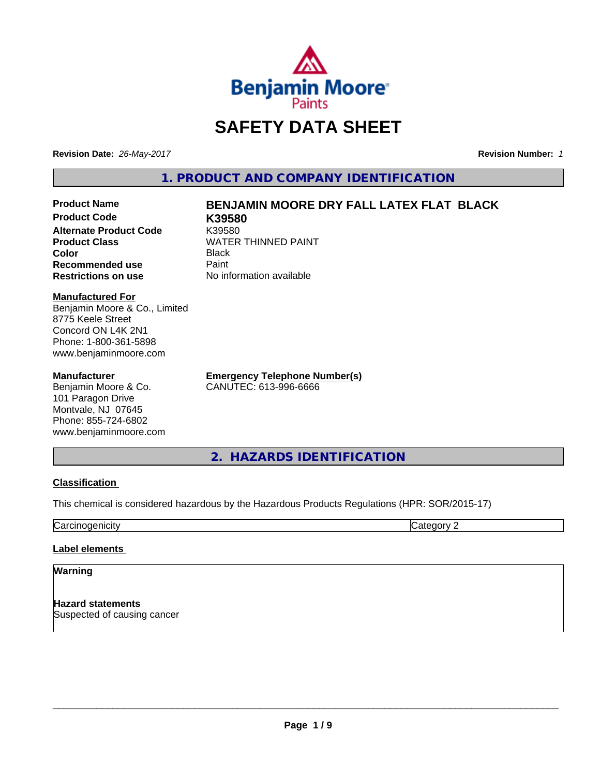

# **SAFETY DATA SHEET**

**Revision Date:** *26-May-2017* **Revision Number:** *1*

**1. PRODUCT AND COMPANY IDENTIFICATION**

#### **Product Name BENJAMIN MOORE DRY FALL LATEX FLAT BLACK Product Code K39580**

**Alternate Product Code K39580<br>Product Class Kanadia Kanadia Kanadia Kanadia Kanadia Kanadia Kanadia Kanadia Kanadia Kanadia Kanadia Kanadia K WATER THINNED PAINT Color** Black **Recommended use** Paint<br> **Restrictions on use** No inf **No information available** 

**Manufactured For**

Benjamin Moore & Co., Limited 8775 Keele Street Concord ON L4K 2N1 Phone: 1-800-361-5898 www.benjaminmoore.com

#### **Manufacturer**

Benjamin Moore & Co. 101 Paragon Drive Montvale, NJ 07645 Phone: 855-724-6802 www.benjaminmoore.com

**Emergency Telephone Number(s)** CANUTEC: 613-996-6666

**2. HAZARDS IDENTIFICATION**

#### **Classification**

This chemical is considered hazardous by the Hazardous Products Regulations (HPR: SOR/2015-17)

**Carcinogenicity** Category 2

#### **Label elements**

#### **Warning**

**Hazard statements** Suspected of causing cancer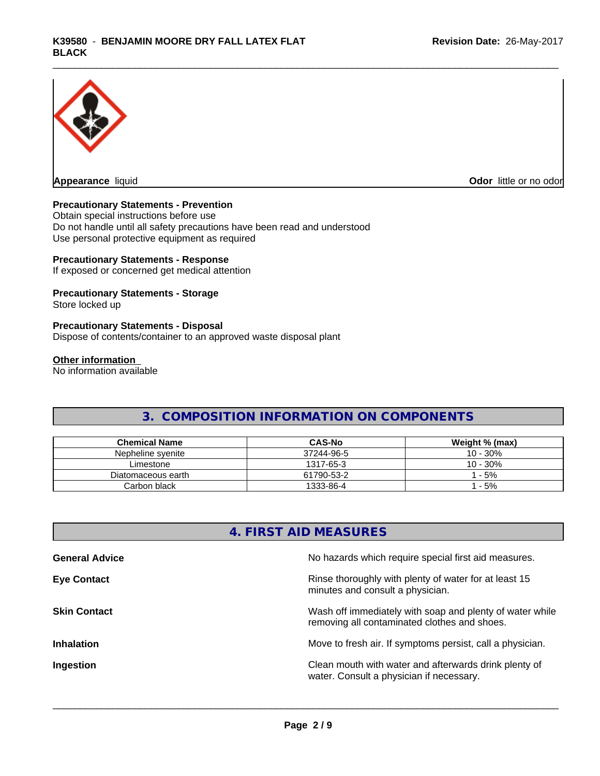

**Appearance** liquid **Odor in the original of the original of the original of the original of the original of the original of the original of the original of the original of the original of the original of the original of t** 

#### **Precautionary Statements - Prevention**

Obtain special instructions before use Do not handle until all safety precautions have been read and understood Use personal protective equipment as required

#### **Precautionary Statements - Response**

If exposed or concerned get medical attention

#### **Precautionary Statements - Storage**

Store locked up

#### **Precautionary Statements - Disposal**

Dispose of contents/container to an approved waste disposal plant

#### **Other information**

No information available

## **3. COMPOSITION INFORMATION ON COMPONENTS**

| <b>Chemical Name</b> | <b>CAS-No</b> | Weight % (max) |
|----------------------|---------------|----------------|
| Nepheline svenite    | 37244-96-5    | 10 - 30%       |
| Limestone            | 1317-65-3     | $10 - 30%$     |
| Diatomaceous earth   | 61790-53-2    | $-5%$          |
| Carbon black         | 1333-86-4     | $-5%$          |

## **4. FIRST AID MEASURES**

| <b>General Advice</b> | No hazards which require special first aid measures.                                                     |
|-----------------------|----------------------------------------------------------------------------------------------------------|
| <b>Eye Contact</b>    | Rinse thoroughly with plenty of water for at least 15<br>minutes and consult a physician.                |
| <b>Skin Contact</b>   | Wash off immediately with soap and plenty of water while<br>removing all contaminated clothes and shoes. |
| <b>Inhalation</b>     | Move to fresh air. If symptoms persist, call a physician.                                                |
| Ingestion             | Clean mouth with water and afterwards drink plenty of<br>water. Consult a physician if necessary.        |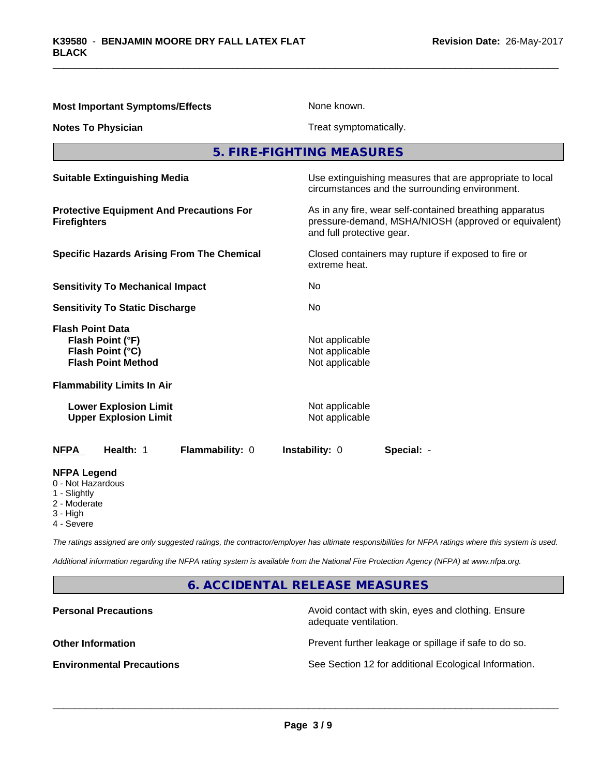| <b>Most Important Symptoms/Effects</b>                                                       | None known.                                                                                                                                  |  |  |
|----------------------------------------------------------------------------------------------|----------------------------------------------------------------------------------------------------------------------------------------------|--|--|
| <b>Notes To Physician</b>                                                                    | Treat symptomatically.                                                                                                                       |  |  |
|                                                                                              | 5. FIRE-FIGHTING MEASURES                                                                                                                    |  |  |
| <b>Suitable Extinguishing Media</b>                                                          | Use extinguishing measures that are appropriate to local<br>circumstances and the surrounding environment.                                   |  |  |
| <b>Protective Equipment And Precautions For</b><br><b>Firefighters</b>                       | As in any fire, wear self-contained breathing apparatus<br>pressure-demand, MSHA/NIOSH (approved or equivalent)<br>and full protective gear. |  |  |
| <b>Specific Hazards Arising From The Chemical</b>                                            | Closed containers may rupture if exposed to fire or<br>extreme heat.                                                                         |  |  |
| <b>Sensitivity To Mechanical Impact</b>                                                      | No                                                                                                                                           |  |  |
| <b>Sensitivity To Static Discharge</b>                                                       | No                                                                                                                                           |  |  |
| <b>Flash Point Data</b><br>Flash Point (°F)<br>Flash Point (°C)<br><b>Flash Point Method</b> | Not applicable<br>Not applicable<br>Not applicable                                                                                           |  |  |
| <b>Flammability Limits In Air</b>                                                            |                                                                                                                                              |  |  |
| <b>Lower Explosion Limit</b><br><b>Upper Explosion Limit</b>                                 | Not applicable<br>Not applicable                                                                                                             |  |  |
| Health: 1<br>Flammability: 0<br><b>NFPA</b>                                                  | Instability: 0<br>Special: -                                                                                                                 |  |  |
| <b>NFPA Legend</b><br>0 - Not Hazardous<br>1 - Slightly<br>2 - Moderate<br>3 - High          |                                                                                                                                              |  |  |

4 - Severe

*The ratings assigned are only suggested ratings, the contractor/employer has ultimate responsibilities for NFPA ratings where this system is used.*

*Additional information regarding the NFPA rating system is available from the National Fire Protection Agency (NFPA) at www.nfpa.org.*

**6. ACCIDENTAL RELEASE MEASURES**

**Personal Precautions Precautions** Avoid contact with skin, eyes and clothing. Ensure adequate ventilation.

**Other Information Other Information Prevent further leakage or spillage if safe to do so.** 

**Environmental Precautions** See Section 12 for additional Ecological Information.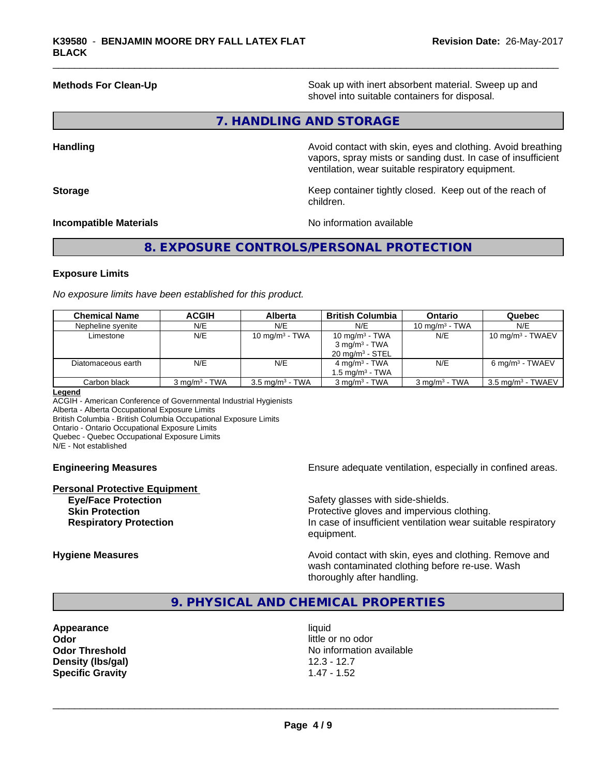**Methods For Clean-Up Example 20 All 20 All 20 All 20 Soak** up with inert absorbent material. Sweep up and shovel into suitable containers for disposal.

#### **7. HANDLING AND STORAGE**

**Handling Handling Avoid contact with skin, eyes and clothing. Avoid breathing** vapors, spray mists or sanding dust. In case of insufficient ventilation, wear suitable respiratory equipment.

**Storage** Storage **Keep container tightly closed.** Keep out of the reach of children.

#### **Incompatible Materials No information available**

#### **8. EXPOSURE CONTROLS/PERSONAL PROTECTION**

#### **Exposure Limits**

*No exposure limits have been established for this product.*

| <b>Chemical Name</b> | <b>ACGIH</b>             | Alberta                    | <b>British Columbia</b>                                                     | <b>Ontario</b>           | Quebec                       |
|----------------------|--------------------------|----------------------------|-----------------------------------------------------------------------------|--------------------------|------------------------------|
| Nepheline syenite    | N/E                      | N/E                        | N/E                                                                         | 10 mg/m $3$ - TWA        | N/E                          |
| Limestone            | N/E                      | 10 mg/m $3$ - TWA          | 10 mg/m $3$ - TWA<br>$3 \text{ mg/m}^3$ - TWA<br>$20 \text{ mg/m}^3$ - STEL | N/E                      | 10 mg/m $3$ - TWAEV          |
| Diatomaceous earth   | N/E                      | N/E                        | $4 \text{ mg/m}^3$ - TWA<br>1.5 mg/m <sup>3</sup> - TWA                     | N/E                      | $6 \text{ mg/m}^3$ - TWAEV   |
| Carbon black         | $3 \text{ ma/m}^3$ - TWA | $3.5 \text{ mg/m}^3$ - TWA | $3 \text{ ma/m}^3$ - TWA                                                    | $3 \text{ mg/m}^3$ - TWA | $3.5 \text{ mg/m}^3$ - TWAEV |

#### **Legend**

ACGIH - American Conference of Governmental Industrial Hygienists Alberta - Alberta Occupational Exposure Limits British Columbia - British Columbia Occupational Exposure Limits Ontario - Ontario Occupational Exposure Limits Quebec - Quebec Occupational Exposure Limits N/E - Not established

# **Personal Protective Equipment**

**Engineering Measures Ensure adequate ventilation, especially in confined areas.** 

**Eye/Face Protection Safety glasses with side-shields. Skin Protection Protection Protective gloves and impervious clothing. Respiratory Protection In case of insufficient ventilation wear suitable respiratory** equipment.

**Hygiene Measures Avoid contact with skin, eyes and clothing. Remove and Avoid contact with skin, eyes and clothing. Remove and Avoid contact with skin, eyes and clothing. Remove and** wash contaminated clothing before re-use. Wash thoroughly after handling.

#### **9. PHYSICAL AND CHEMICAL PROPERTIES**

**Appearance** liquid **Odor** little or no odor **Density (lbs/gal)** 12.3 - 12.7 **Specific Gravity** 1.47 - 1.52

**Odor Threshold No information available No information available**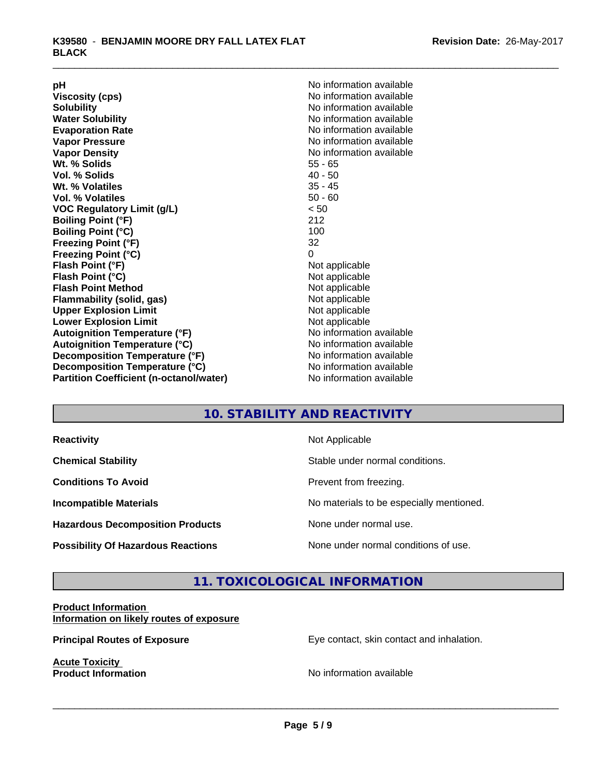| рH                                             | No information available |
|------------------------------------------------|--------------------------|
| <b>Viscosity (cps)</b>                         | No information available |
| <b>Solubility</b>                              | No information available |
| <b>Water Solubility</b>                        | No information available |
| <b>Evaporation Rate</b>                        | No information available |
| <b>Vapor Pressure</b>                          | No information available |
| <b>Vapor Density</b>                           | No information available |
| Wt. % Solids                                   | $55 - 65$                |
| Vol. % Solids                                  | $40 - 50$                |
| Wt. % Volatiles                                | $35 - 45$                |
| Vol. % Volatiles                               | $50 - 60$                |
| <b>VOC Regulatory Limit (g/L)</b>              | < 50                     |
| <b>Boiling Point (°F)</b>                      | 212                      |
| <b>Boiling Point (°C)</b>                      | 100                      |
| <b>Freezing Point (°F)</b>                     | 32                       |
| <b>Freezing Point (°C)</b>                     | 0                        |
| Flash Point (°F)                               | Not applicable           |
| Flash Point (°C)                               | Not applicable           |
| <b>Flash Point Method</b>                      | Not applicable           |
| Flammability (solid, gas)                      | Not applicable           |
| <b>Upper Explosion Limit</b>                   | Not applicable           |
| <b>Lower Explosion Limit</b>                   | Not applicable           |
| <b>Autoignition Temperature (°F)</b>           | No information available |
| <b>Autoignition Temperature (°C)</b>           | No information available |
| Decomposition Temperature (°F)                 | No information available |
| Decomposition Temperature (°C)                 | No information available |
| <b>Partition Coefficient (n-octanol/water)</b> | No information available |

## **10. STABILITY AND REACTIVITY**

| <b>Reactivity</b>                         | Not Applicable                           |
|-------------------------------------------|------------------------------------------|
| <b>Chemical Stability</b>                 | Stable under normal conditions.          |
| <b>Conditions To Avoid</b>                | Prevent from freezing.                   |
| <b>Incompatible Materials</b>             | No materials to be especially mentioned. |
| <b>Hazardous Decomposition Products</b>   | None under normal use.                   |
| <b>Possibility Of Hazardous Reactions</b> | None under normal conditions of use.     |

## **11. TOXICOLOGICAL INFORMATION**

#### **Product Information Information on likely routes of exposure**

**Acute Toxicity<br>Product Information** 

**Principal Routes of Exposure Exposure** Eye contact, skin contact and inhalation.

**No information available**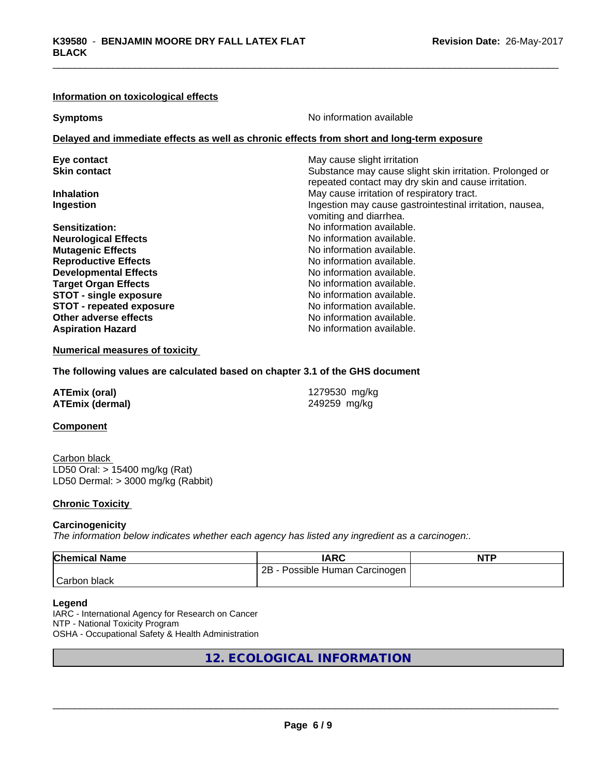#### **Information on toxicological effects**

| <b>Symptoms</b>                                                                            | No information available                                                                                        |  |  |  |
|--------------------------------------------------------------------------------------------|-----------------------------------------------------------------------------------------------------------------|--|--|--|
| Delayed and immediate effects as well as chronic effects from short and long-term exposure |                                                                                                                 |  |  |  |
| Eye contact                                                                                | May cause slight irritation                                                                                     |  |  |  |
| <b>Skin contact</b>                                                                        | Substance may cause slight skin irritation. Prolonged or<br>repeated contact may dry skin and cause irritation. |  |  |  |
| <b>Inhalation</b>                                                                          | May cause irritation of respiratory tract.                                                                      |  |  |  |
| Ingestion                                                                                  | Ingestion may cause gastrointestinal irritation, nausea,<br>vomiting and diarrhea.                              |  |  |  |
| <b>Sensitization:</b>                                                                      | No information available.                                                                                       |  |  |  |
| <b>Neurological Effects</b>                                                                | No information available.                                                                                       |  |  |  |
| <b>Mutagenic Effects</b>                                                                   | No information available.                                                                                       |  |  |  |
| <b>Reproductive Effects</b>                                                                | No information available.                                                                                       |  |  |  |
| <b>Developmental Effects</b>                                                               | No information available.                                                                                       |  |  |  |
| <b>Target Organ Effects</b>                                                                | No information available.                                                                                       |  |  |  |
| <b>STOT - single exposure</b>                                                              | No information available.                                                                                       |  |  |  |
| <b>STOT - repeated exposure</b>                                                            | No information available.                                                                                       |  |  |  |
| Other adverse effects                                                                      | No information available.                                                                                       |  |  |  |
| <b>Aspiration Hazard</b>                                                                   | No information available.                                                                                       |  |  |  |
|                                                                                            |                                                                                                                 |  |  |  |

#### **Numerical measures of toxicity**

#### **The following values are calculated based on chapter 3.1 of the GHS document**

| <b>ATEmix (oral)</b>   | 1279530 mg/kg |
|------------------------|---------------|
| <b>ATEmix (dermal)</b> | 249259 mg/kg  |

#### **Component**

Carbon black LD50 Oral: > 15400 mg/kg (Rat) LD50 Dermal: > 3000 mg/kg (Rabbit)

#### **Chronic Toxicity**

#### **Carcinogenicity**

*The information below indicateswhether each agency has listed any ingredient as a carcinogen:.*

| <b>Chemical Name</b> | <b>IARC</b>                             | <b>NTP</b> |
|----------------------|-----------------------------------------|------------|
|                      | 2B<br>Human<br>Carcinogen<br>Possible . |            |
| Carbon.<br>black     |                                         |            |

#### **Legend**

IARC - International Agency for Research on Cancer NTP - National Toxicity Program OSHA - Occupational Safety & Health Administration

## **12. ECOLOGICAL INFORMATION**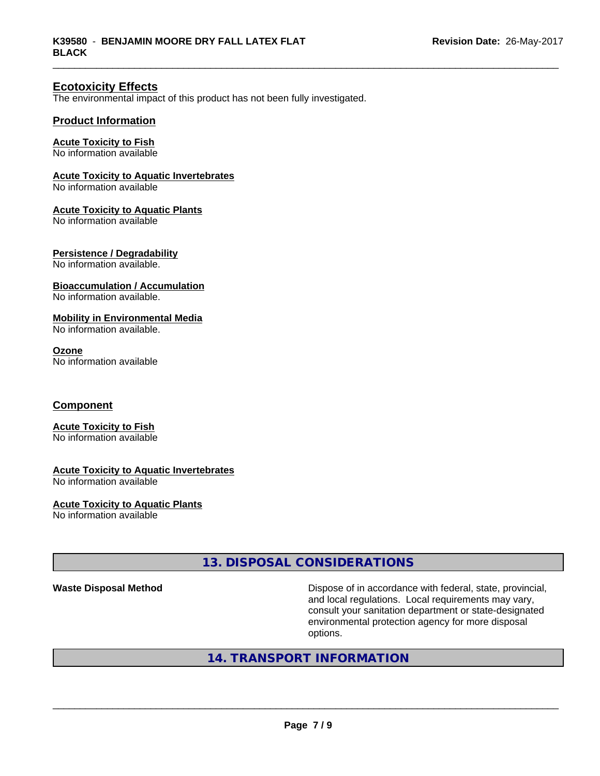#### **Ecotoxicity Effects**

The environmental impact of this product has not been fully investigated.

#### **Product Information**

#### **Acute Toxicity to Fish**

No information available

#### **Acute Toxicity to Aquatic Invertebrates**

No information available

#### **Acute Toxicity to Aquatic Plants**

No information available

#### **Persistence / Degradability**

No information available.

#### **Bioaccumulation / Accumulation**

No information available.

#### **Mobility in Environmental Media**

No information available.

#### **Ozone**

No information available

#### **Component**

# **Acute Toxicity to Fish**

No information available

#### **Acute Toxicity to Aquatic Invertebrates**

No information available

# **Acute Toxicity to Aquatic Plants**

No information available

#### **13. DISPOSAL CONSIDERATIONS**

**Waste Disposal Method** Dispose of in accordance with federal, state, provincial, and local regulations. Local requirements may vary, consult your sanitation department or state-designated environmental protection agency for more disposal options.

## **14. TRANSPORT INFORMATION**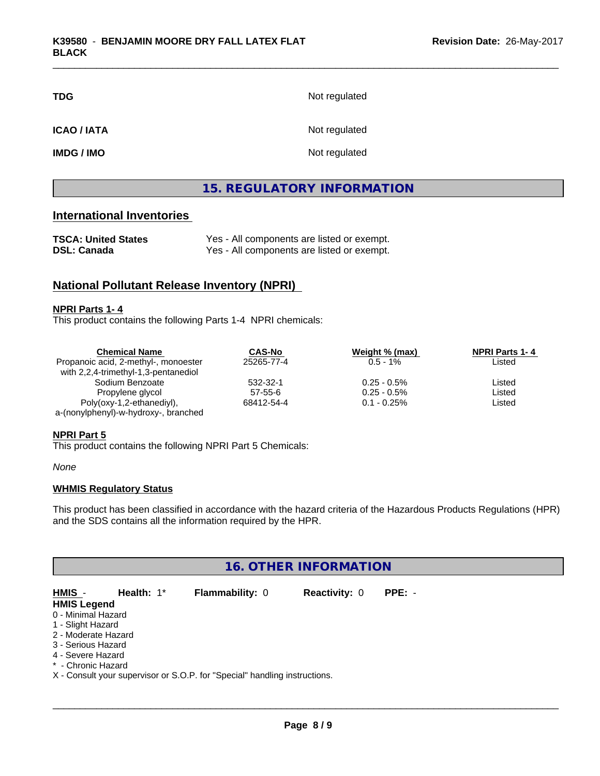| <b>TDG</b>        | Not regulated |
|-------------------|---------------|
| <b>ICAO/IATA</b>  | Not regulated |
| <b>IMDG / IMO</b> | Not regulated |

#### **15. REGULATORY INFORMATION**

#### **International Inventories**

| <b>TSCA: United States</b> | Yes - All components are listed or exempt. |
|----------------------------|--------------------------------------------|
| <b>DSL: Canada</b>         | Yes - All components are listed or exempt. |

#### **National Pollutant Release Inventory (NPRI)**

#### **NPRI Parts 1- 4**

This product contains the following Parts 1-4 NPRI chemicals:

| <b>Chemical Name</b>                 | <b>CAS-No</b> | Weight % (max) | <b>NPRI Parts 1-4</b> |  |
|--------------------------------------|---------------|----------------|-----------------------|--|
| Propanoic acid, 2-methyl-, monoester | 25265-77-4    | $0.5 - 1\%$    | Listed                |  |
| with 2,2,4-trimethyl-1,3-pentanediol |               |                |                       |  |
| Sodium Benzoate                      | 532-32-1      | $0.25 - 0.5\%$ | Listed                |  |
| Propylene glycol                     | $57 - 55 - 6$ | $0.25 - 0.5\%$ | Listed                |  |
| Poly(oxy-1,2-ethanediyl),            | 68412-54-4    | $0.1 - 0.25\%$ | Listed                |  |
| a-(nonylphenyl)-w-hydroxy-, branched |               |                |                       |  |

#### **NPRI Part 5**

This product contains the following NPRI Part 5 Chemicals:

*None*

#### **WHMIS Regulatory Status**

This product has been classified in accordance with the hazard criteria of the Hazardous Products Regulations (HPR) and the SDS contains all the information required by the HPR.

#### **16. OTHER INFORMATION**

**HMIS** - **Health:** 1\* **Flammability:** 0 **Reactivity:** 0 **PPE:** - **HMIS Legend** 0 - Minimal Hazard 1 - Slight Hazard 2 - Moderate Hazard 3 - Serious Hazard 4 - Severe Hazard \* - Chronic Hazard X - Consult your supervisor or S.O.P. for "Special" handling instructions.